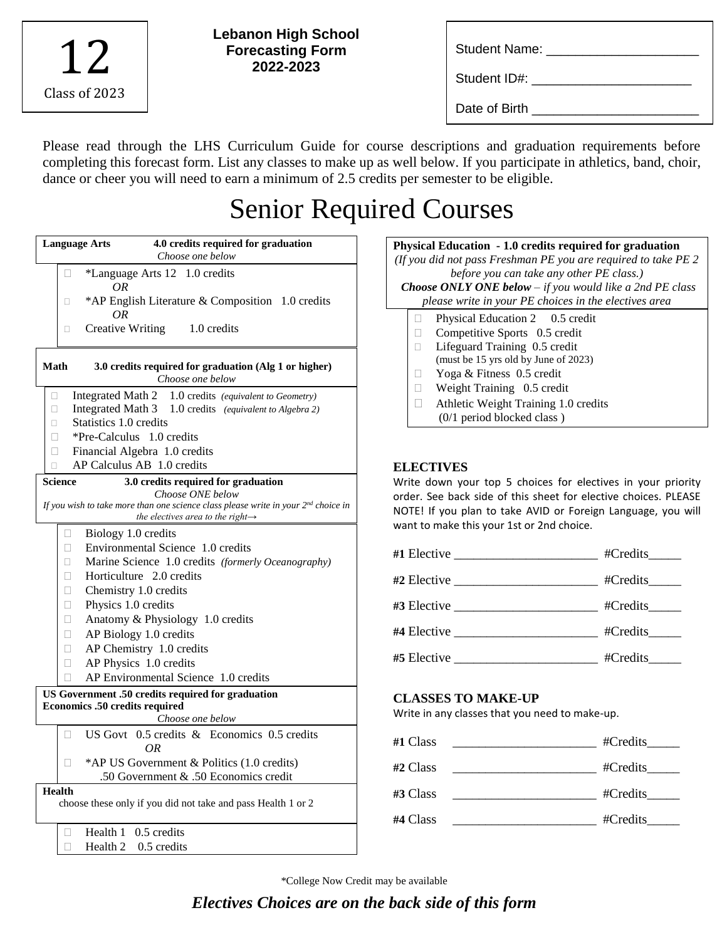| Class of 2023 |  |
|---------------|--|

**Lebanon High School Forecasting Form 2022-2023**

| <b>Student Name:</b> |  |
|----------------------|--|
|                      |  |

Student ID#: \_\_\_\_\_\_\_\_\_\_\_\_\_\_\_\_\_\_\_\_\_\_

Date of Birth

Please read through the LHS Curriculum Guide for course descriptions and graduation requirements before completing this forecast form. List any classes to make up as well below. If you participate in athletics, band, choir, dance or cheer you will need to earn a minimum of 2.5 credits per semester to be eligible.

# Senior Required Courses

| <b>Language Arts</b> | 4.0 credits required for graduation<br>Choose one below                                                                                  |
|----------------------|------------------------------------------------------------------------------------------------------------------------------------------|
| П                    | *Language Arts 12 1.0 credits                                                                                                            |
|                      | ΟR                                                                                                                                       |
| □                    | *AP English Literature & Composition 1.0 credits<br>OR                                                                                   |
| 0                    | 1.0 credits<br><b>Creative Writing</b>                                                                                                   |
| <b>Math</b>          | 3.0 credits required for graduation (Alg 1 or higher)<br>Choose one below                                                                |
| □                    | Integrated Math 2 1.0 credits (equivalent to Geometry)                                                                                   |
| O.                   | Integrated Math 3 1.0 credits (equivalent to Algebra 2)                                                                                  |
| $\Box$               | Statistics 1.0 credits                                                                                                                   |
| П                    | *Pre-Calculus 1.0 credits                                                                                                                |
| $\Box$               | Financial Algebra 1.0 credits                                                                                                            |
| □                    | AP Calculus AB 1.0 credits                                                                                                               |
| <b>Science</b>       | 3.0 credits required for graduation                                                                                                      |
|                      | Choose ONE below                                                                                                                         |
|                      | If you wish to take more than one science class please write in your $2^{nd}$ choice in<br>the electives area to the right $\rightarrow$ |
| $\Box$               | Biology 1.0 credits                                                                                                                      |
| П                    | Environmental Science 1.0 credits                                                                                                        |
| п                    | Marine Science 1.0 credits (formerly Oceanography)                                                                                       |
| П                    | Horticulture 2.0 credits                                                                                                                 |
| П                    | Chemistry 1.0 credits                                                                                                                    |
| П                    | Physics 1.0 credits                                                                                                                      |
| П                    | Anatomy & Physiology 1.0 credits                                                                                                         |
| П                    | AP Biology 1.0 credits                                                                                                                   |
| $\Box$               | AP Chemistry 1.0 credits                                                                                                                 |
| □                    | AP Physics 1.0 credits                                                                                                                   |
|                      | AP Environmental Science 1.0 credits                                                                                                     |
|                      | US Government .50 credits required for graduation                                                                                        |
|                      | Economics .50 credits required                                                                                                           |
|                      | Choose one below                                                                                                                         |
| П                    | US Govt 0.5 credits & Economics 0.5 credits<br>ΟR                                                                                        |
| П                    | *AP US Government & Politics (1.0 credits)                                                                                               |
|                      | .50 Government & .50 Economics credit                                                                                                    |
| <b>Health</b>        | choose these only if you did not take and pass Health 1 or 2                                                                             |
| $\mathbf{L}$         | Health 1<br>0.5 credits                                                                                                                  |
| П                    | Health <sub>2</sub><br>$0.5$ credits                                                                                                     |

| <b>Physical Education - 1.0 credits required for graduation</b><br>(If you did not pass Freshman PE you are required to take $PE$ 2<br>before you can take any other PE class.)<br><b>Choose ONLY ONE below</b> $-$ if you would like a 2nd PE class<br>please write in your PE choices in the electives area |  |                                      |
|---------------------------------------------------------------------------------------------------------------------------------------------------------------------------------------------------------------------------------------------------------------------------------------------------------------|--|--------------------------------------|
|                                                                                                                                                                                                                                                                                                               |  | Physical Education 2 0.5 credit      |
|                                                                                                                                                                                                                                                                                                               |  | Competitive Sports 0.5 credit        |
|                                                                                                                                                                                                                                                                                                               |  | Lifeguard Training 0.5 credit        |
|                                                                                                                                                                                                                                                                                                               |  | (must be 15 yrs old by June of 2023) |
|                                                                                                                                                                                                                                                                                                               |  | Yoga & Fitness 0.5 credit            |
|                                                                                                                                                                                                                                                                                                               |  | Weight Training 0.5 credit           |
|                                                                                                                                                                                                                                                                                                               |  | Athletic Weight Training 1.0 credits |
|                                                                                                                                                                                                                                                                                                               |  | $(0/1$ period blocked class)         |

# **ELECTIVES**

Write down your top 5 choices for electives in your priority order. See back side of this sheet for elective choices. PLEASE NOTE! If you plan to take AVID or Foreign Language, you will want to make this your 1st or 2nd choice.

| #Credits________                     |
|--------------------------------------|
| #Credits______                       |
|                                      |
| $\text{\#Credits}\_\text{\#Credits}$ |
| $\text{\#Credits}\_\text{\#Credits}$ |

# **CLASSES TO MAKE-UP**

Write in any classes that you need to make-up.

| #Credits |
|----------|
| #Credits |
| #Credits |
| #Credits |
|          |

\*College Now Credit may be available